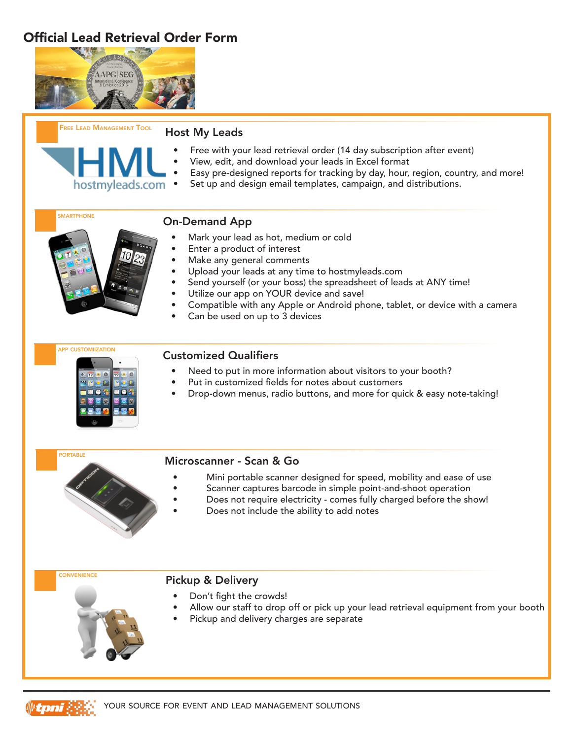# Official Lead Retrieval Order Form



hostmyleads.com



#### Host My Leads

- Free with your lead retrieval order (14 day subscription after event)
- View, edit, and download your leads in Excel format
- Easy pre-designed reports for tracking by day, hour, region, country, and more!
- Set up and design email templates, campaign, and distributions.

**SMARTPHONE** 

## On-Demand App

- Mark your lead as hot, medium or cold
- Enter a product of interest
- Make any general comments
- Upload your leads at any time to hostmyleads.com
- Send yourself (or your boss) the spreadsheet of leads at ANY time!
- Utilize our app on YOUR device and save!
- Compatible with any Apple or Android phone, tablet, or device with a camera
- Can be used on up to 3 devices



### Customized Qualifiers

- Need to put in more information about visitors to your booth?
- Put in customized fields for notes about customers
- Drop-down menus, radio buttons, and more for quick & easy note-taking!



### Microscanner - Scan & Go

- Mini portable scanner designed for speed, mobility and ease of use
	- Scanner captures barcode in simple point-and-shoot operation
- Does not require electricity comes fully charged before the show!
- Does not include the ability to add notes



#### Pickup & Delivery

- Don't fight the crowds!
- Allow our staff to drop off or pick up your lead retrieval equipment from your booth
- Pickup and delivery charges are separate